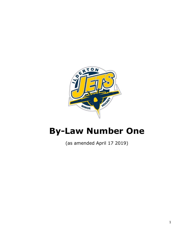

# By-Law Number One

(as amended April 17 2019)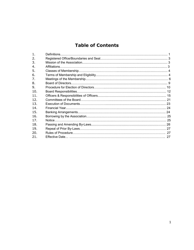# **Table of Contents**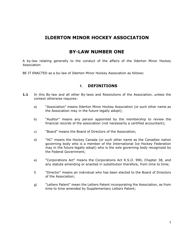# ILDERTON MINOR HOCKEY ASSOCIATION

# BY-LAW NUMBER ONE

A by-law relating generally to the conduct of the affairs of the Ilderton Minor Hockey Association

BE IT ENACTED as a by-law of Ilderton Minor Hockey Association as follows:

# 1. DEFINITIONS

- 1.1 In this By-law and all other By-laws and Resolutions of the Association, unless the context otherwise requires:
	- a) "Association" means Ilderton Minor Hockey Association (or such other name as the Association may in the future legally adopt);
	- b) "Auditor" means any person appointed by the membership to review the financial records of the association (not necessarily a certified accountant);
	- c) "Board" means the Board of Directors of the Association;
	- d) "HC" means the Hockey Canada (or such other name as the Canadian nation governing body who is a member of the International Ice Hockey Federation may in the future legally adopt) who is the sole governing body recognized by the Federal Government;
	- e) "Corporations Act" means the Corporations Act R.S.O. 990, Chapter 38, and any statute amending or enacted in substitution therefore, from time to time;
	- f) "Director" means an individual who has been elected to the Board of Directors of the Association;
	- g) "Letters Patent" mean the Letters Patent incorporating the Association, as from time to time amended by Supplementary Letters Patent;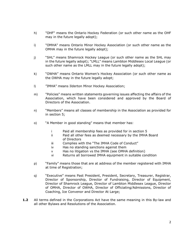- h) "OHF" means the Ontario Hockey Federation (or such other name as the OHF may in the future legally adopt);
- i) "OMHA" means Ontario Minor Hockey Association (or such other name as the OMHA may in the future legally adopt);
- j) "SHL" means Shamrock Hockey League (or such other name as the SHL may in the future legally adopt); "LMLL" means Lambton Middlesex Local League (or such other name as the LMLL may in the future legally adopt);
- k) "OWHA" means Ontario Women's Hockey Association (or such other name as the OWHA may in the future legally adopt;
- l) "IMHA" means Ilderton Minor Hockey Association;
- m) "Policies" means written statements governing issues affecting the affairs of the Association, which have been considered and approved by the Board of Directors of the Association.
- n) "Members" means all classes of membership in the Association as provided for in section 5;
- o) "A Member in good standing" means that member has:
	- i Paid all membership fees as provided for in section 5
	- ii Paid all other fees as deemed necessary by the IMHA Board of Directors
	- iii Complies with the "The IMHA Code of Conduct"
	- iv Has no standing sanctions against them
	- v Has no litigation vs the IMHA (see OMHA definition)
	- vi Returns all borrowed IMHA equipment in suitable condition
- p) "Family" means those that are at address of the member registered with IMHA at time of Registration;
- q) "Executive" means Past President, President, Secretary, Treasurer, Registrar, Director of Sponsorship, Director of Fundraising, Director of Equipment, Director of Shamrock League, Director of Lambton Middlesex League, Director of OMHA, Director of OWHA, Director of Officiating/Admissions, Director of Coaching, Ice Convenor and Director At Large;
- **1.2** All terms defined in the Corporations Act have the same meaning in this By-law and all other Bylaws and Resolutions of the Association.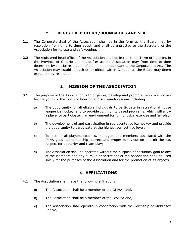# 2. REGISTERED OFFICE/BOUNDARIES AND SEAL

- **2.1** The Corporate Seal of the Association shall be in the form as the Board may by resolution from time to time adopt, and shall be entrusted to the Secretary of the Association for its use and safekeeping.
- 2.2 The registered head office of the Association shall be in the in the Town of Ilderton, in the Province of Ontario and thereafter as the Association may from time to time determine by special resolution of the members pursuant to the Corporations Act. The Association may establish such other offices within Canada, as the Board may deem expedient by resolution.

# 3. MISSION OF THE ASSOCIATION

- **3.1** The purpose of the Association is to organize, develop and promote minor ice hockey for the youth of the Town of Ilderton and surrounding areas including:
	- a) The opportunity for all eligible individuals to participate in recreational house league ice hockey, and to provide community based programs, which will allow a player to participate in an environment for fun, physical exercise and fair play;
	- b) The development of and participation in representative ice hockey and provide the opportunity to participate at the highest competitive level;
	- c) To instil in all players, coaches, managers and members associated with the IMHA good sportsmanship, correct and proper behaviour on and off the ice, respect for authority and team play;
	- d) The Association shall be operated without the purpose of pecuniary gain to any of the Members and any surplus or accretions of the Association shall be used solely for the purposes of the Association and for the promotion of its objects

# 4. AFFILIATIONS

- **4.1** The Association shall have the following affiliations:
	- a) The Association shall be a member of the OMHA; and,
	- b) The Association shall be a member of the OWHA; and,
	- c) The Association shall operate in cooperation with the Township of Middlesex Centre;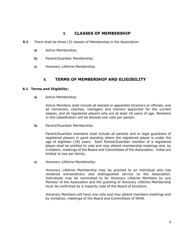# 5. CLASSES OF MEMBERSHIP

- **5.1** There shall be three (3) classes of Membership in the Association:
	- a) Active Membership;
	- b) Parent/Guardian Membership;
	- c) Honorary Lifetime Membership.

# 6. TERMS OF MEMBERSHIP AND ELIGIBILITY

#### 6.1 Terms and Eligibility:

a) Active Membership:

Active Members shall include all elected or appointed Directors or officials, and all convenors, coaches, managers and trainers appointed for the current season, and all registered players who are at least 18 years of age. Members in this classification will be allowed one vote per person.

b) Parent/Guardian Membership:

Parent/Guardian members shall include all parents and or legal guardians of registered players in good standing where the registered player is under the age of eighteen (18) years. Each Parent/Guardian member of a registered player shall be entitled to vote and may attend membership meetings and, by invitation, meetings of the Board and Committees of the Association. Votes are limited to two per family.

c) Honorary Lifetime Membership:

Honorary Lifetime Membership may be granted to an individual who has rendered extraordinary and distinguished service to the Association. Individuals may be nominated to be Honorary Lifetime Members by any Member of the Association and the granting of Honorary Lifetime Membership must be confirmed by a majority vote of the Board of Directors.

Honorary Members will have one vote and may attend members meetings and by invitation, meetings of the Board and Committees of IMHA.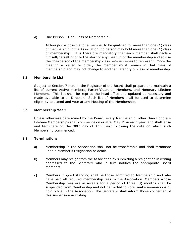d) One Person – One Class of Membership:

Although it is possible for a member to be qualified for more than one (1) class of membership in the Association, no person may hold more than one (1) class of membership. It is therefore mandatory that each member shall declare himself/herself prior to the start of any meeting of the membership and advise the chairperson of the membership class he/she wishes to represent. Once the meeting is called to order, the member must remain in that class of membership and may not change to another category or class of membership.

# 6.2 Membership List:

Subject to Section 7 herein, the Registrar of the Board shall prepare and maintain a list of current Active Members, Parent/Guardian Members, and Honorary Lifetime Members. This list shall be kept at the head office and updated as necessary and made available to all Directors. Such list of Members shall be used to determine eligibility to attend and vote at any Meeting of the Membership.

#### 6.3 Membership Year:

Unless otherwise determined by the Board, every Membership, other than Honorary Lifetime Memberships shall commence on or after May  $1<sup>st</sup>$  in each year, and shall lapse and terminate on the 30th day of April next following the date on which such Membership commenced.

#### 6.4 Termination:

- a) Membership in the Association shall not be transferable and shall terminate upon a Member's resignation or death.
- b) Members may resign from the Association by submitting a resignation in writing addressed to the Secretary who in turn notifies the appropriate Board members.
- c) Members in good standing shall be those admitted to Membership and who have paid all required membership fees to the Association. Members whose Membership fees are in arrears for a period of three (3) months shall be suspended from Membership and not permitted to vote, make nominations or hold office in the Association. The Secretary shall inform those concerned of this suspension in writing.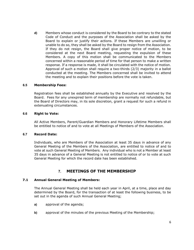d) Members whose conduct is considered by the Board to be contrary to the stated Code of Conduct and the purposes of the Association shall be asked by the Board to explain or justify their actions. If these Members are unwilling or unable to do so, they shall be asked by the Board to resign from the Association. If they do not resign, the Board shall give proper notice of motion, to be considered at the next Board meeting, requesting the expulsion of these Members. A copy of this motion shall be communicated to the Members concerned within a reasonable period of time for that person to make a written response. If a response is made, it shall be circulated with the notice of motion. Approval of such a motion shall require a two-thirds (2/3) majority in a ballot conducted at the meeting. The Members concerned shall be invited to attend the meeting and to explain their positions before the vote is taken.

#### 6.5 Membership Fees:

Registration fees shall be established annually by the Executive and resolved by the Board. Fees for any unexpired term of membership are normally not refundable, but the Board of Directors may, in its sole discretion, grant a request for such a refund in extenuating circumstances.

#### 6.6 Right to Vote:

All Active Members, Parent/Guardian Members and Honorary Lifetime Members shall be entitled to notice of and to vote at all Meetings of Members of the Association.

#### 6.7 Record Date:

Individuals, who are Members of the Association at least 35 days in advance of any General Meeting of the Members of the Association, are entitled to notice of and to vote at such General Meeting of Members. Any individual who is not a Member at least 35 days in advance of a General Meeting is not entitled to notice of or to vote at such General Meeting for which the record date has been established.

# 7. MEETINGS OF THE MEMBERSHIP

#### 7.1 Annual General Meeting of Members:

The Annual General Meeting shall be held each year in April, at a time, place and day determined by the Board, for the transaction of at least the following business, to be set out in the agenda of such Annual General Meeting;

- a) approval of the agenda;
- b) approval of the minutes of the previous Meeting of the Membership;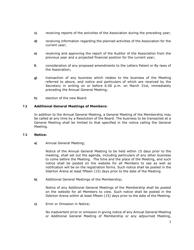- c) receiving reports of the activities of the Association during the preceding year;
- d) receiving information regarding the planned activities of the Association for the current year;
- e) receiving and approving the report of the Auditor of the Association from the previous year and a projected financial position for the current year;
- f) consideration of any proposed amendments to the Letters Patent or By-laws of the Association;
- g) transaction of any business which relates to the business of the Meeting referred to above, and notice and particulars of which are received by the Secretary in writing on or before 6:00 p.m. on March 31st, immediately preceding the Annual General Meeting;
- h) election of the new Board

# 7.2 Additional General Meetings of Members:

In addition to the Annual General Meeting, a General Meeting of the Membership may be called at any time by a Resolution of the Board. The business to be transacted at a General Meeting shall be limited to that specified in the notice calling the General Meeting.

#### 7.3 Notice:

a) Annual General Meeting;

Notice of the Annual General Meeting to be held within 15 days prior to the meeting, shall set out the agenda, including particulars of any other business to come before the Meeting. The time and the place of the Meeting, and such notice shall be posted on the website for all Members to see as well as notification will be on the registration forms. Such notice shall be posted in the Ilderton Arena at least fifteen (15) days prior to the date of the Meeting.

b) Additional General Meetings of the Membership;

Notice of any Additional General Meetings of the Membership shall be posted on the website for all Members to view. Such notice shall be posted in the Ilderton Arena within at least fifteen (15) days prior to the date of the Meeting.

c) Error or Omission in Notice;

No inadvertent error or omission in giving notice of any Annual General Meeting or Additional General Meeting of Membership or any adjourned Meeting,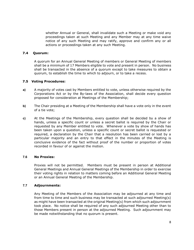whether Annual or General, shall invalidate such a Meeting or make void any proceedings taken at such Meeting and any Member may at any time waive notice of any such Meeting and may ratify, approve and confirm any or all actions or proceedings taken at any such Meeting.

# 7.4 Quorum:

A quorum for an Annual General Meeting of members or General Meeting of members shall be a minimum of 17 Members eligible to vote and present in person. No business shall be transacted in the absence of a quorum except to take measures to obtain a quorum, to establish the time to which to adjourn, or to take a recess.

#### 7.5 Voting Procedures:

- a) A majority of votes cast by Members entitled to vote, unless otherwise required by the Corporations Act or by the By-laws of the Association, shall decide every question proposed for consideration at Meetings of the Membership;
- b) The Chair presiding at a Meeting of the Membership shall have a vote only in the event of a tie vote;
- c) At the Meetings of the Membership, every question shall be decided by a show of hands, unless a specific count or unless a secret ballot is required by the Chair or requested by any Member entitled to vote. Whenever a vote by show of hands has been taken upon a question, unless a specific count or secret ballot is requested or required, a declaration by the Chair that a resolution has been carried or lost by a particular majority and an entry to that effect in the minutes of the Meeting is conclusive evidence of the fact without proof of the number or proportion of votes recorded in favour of or against the motion.

#### 7.6 No Proxies:

Proxies will not be permitted. Members must be present in person at Additional General Meetings and Annual General Meetings of the Membership in order to exercise their voting rights in relation to matters coming before an Additional General Meeting or an Annual General Meeting of the Membership.

#### 7.7 Adjournments:

Any Meeting of the Members of the Association may be adjourned at any time and from time to time and such business may be transacted at such adjourned Meeting(s) as might have been transacted at the original Meeting(s) from which such adjournment took place. No notice shall be required of any such adjourned Meeting other than to those Members present in person at the adjourned Meeting. Such adjournment may be made notwithstanding that no quorum is present.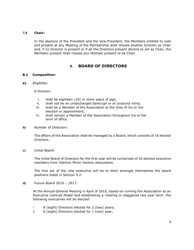#### 7.8 Chair:

In the absence of the President and the Vice-President, the Members entitled to vote and present at any Meeting of the Membership shall choose another Director as Chair and, if no Director is present or if all the Directors present decline to act as Chair, the Members present shall choose any Member present to be Chair.

# 8. BOARD OF DIRECTORS

# 8.1 Composition:

a) Eligibility:

A Director:

- i. shall be eighteen (18) or more years of age;
- ii. shall not be an undischarged bankrupt or of unsound mind;
- iii. shall be a Member of the Association at the time of his or her election or appointment;
- iv. shall remain a Member of the Association throughout his or her term of office.
- b) Number of Directors:

The affairs of the Association shall be managed by a Board, which consists of 16 elected Directors.

c) Initial Board:

The initial Board of Directors for the first year will be comprised of 16 elected executive members from Ilderton Minor Hockey Association.

The first act of the new executive will be to elect amongst themselves the board positions listed in Section 9.2.

d) Future Board 2016 – 2017:

At the Annual General Meeting in April of 2016, based on running the Association as an Executive Centred Model and establishing a rotating or staggered two year term, the following executives will be elected:

- i 8 (eight) Directors elected for 2 (two) years;
- ii 8 (eight) Directors elected for 1 (one) year;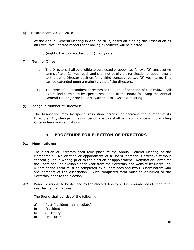e) Future Board 2017 – 2018:

At the Annual General Meeting in April of 2017, based on running the Association as an Executive Centred model the following executives will be elected:

- i 8 (eight) directors elected for 2 (two) years
- f) Term of Office:
	- i. The Directors shall be eligible to be elected or appointed for two (2) consecutive terms of two (2) year each and shall not be eligible for election or appointment to the same Director position for a third consecutive two (2) year term. This can be extended upon a majority vote of the directors.
	- ii. The term of all incumbent Directors at the date of adoption of this Bylaw shall expire and terminate by special resolution of the Board following the Annual General Meeting prior to April 30th that follows said meeting.
- g) Change in Number of Directors:

The Association may by special resolution increase or decrease the number of its Directors. Any change in the number of Directors shall be in compliance with prevailing Ontario laws and regulations.

# 9. PROCEDURE FOR ELECTION OF DIRECTORS

#### 9.1 Nominations:

The election of Directors shall take place at the Annual General Meeting of the Membership. No election or appointment of a Board Member is effective without consent given in writing prior to the election or appointment. Nomination Forms for the Board shall be available each year from the Secretary and website by March 1st. A Nomination Form must be completed by all nominees and two (2) nominators who are Members of the Association. Such completed form must be delivered to the Secretary prior to the election.

**9.2** Board Positions: to be decided by the elected directors. Even numbered election for 1 year terms the first year

The Board shall consist of the following;

- a) Past President (immediate)
- b) President
- c) Secretary
- d) Treasurer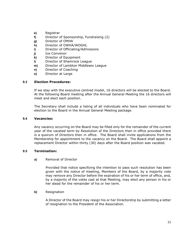- e) Registrar
- f) Director of Sponsorship, Fundraising (2)
- g) Director of OMHA
- h) Director of OWHA/WOGHL
- i) Director of Officiating/Admissions
- j) Ice Convenor
- k) Director of Equipment
- l) Director of Shamrock League
- m) Director of Lambton Middlesex League
- n) Director of Coaching
- o) Director at Large

# 9.3 Election Procedures:

If we stay with the executive centred model, 16 directors will be elected to the Board. At the following Board meeting after the Annual General Meeting the 16 directors will meet and elect each position.

The Secretary shall include a listing of all individuals who have been nominated for election to the Board in the Annual General Meeting package.

#### 9.4 Vacancies:

Any vacancy occurring on the Board may be filled only for the remainder of the current year of the vacated term by Resolution of the Directors then in office provided there is a quorum of Directors then in office. The Board shall invite applications from the Membership for appointment to the vacancy on the Board. The Board shall appoint a replacement Director within thirty (30) days after the Board position was vacated.

#### 9.5 Termination:

#### a) Removal of Director

Provided that notice specifying the intention to pass such resolution has been given with the notice of meeting, Members of the Board, by a majority vote may remove any Director before the expiration of his or her term of office, and, by a majority of the votes cast at that Meeting, may elect any person in his or her stead for the remainder of his or her term.

b) Resignation

A Director of the Board may resign his or her Directorship by submitting a letter of resignation to the President of the Association.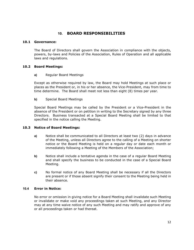# 10. BOARD RESPONSIBILITIES

#### 10.1 Governance:

The Board of Directors shall govern the Association in compliance with the objects, powers, by-laws and Policies of the Association, Rules of Operation and all applicable laws and regulations.

#### 10.2 Board Meetings:

#### a) Regular Board Meetings

Except as otherwise required by law, the Board may hold Meetings at such place or places as the President or, in his or her absence, the Vice-President, may from time to time determine. The Board shall meet not less than eight (8) times per year.

b) Special Board Meetings

Special Board Meetings may be called by the President or a Vice-President in the absence of the President or on petition in writing to the Secretary signed by any three Directors. Business transacted at a Special Board Meeting shall be limited to that specified in the notice calling the Meeting.

#### 10.3 Notice of Board Meetings:

- a) Notice shall be communicated to all Directors at least two (2) days in advance of the Meeting, unless all Directors agree to the calling of a Meeting on shorter notice or the Board Meeting is held on a regular day or date each month or immediately following a Meeting of the Members of the Association;
- b) Notice shall include a tentative agenda in the case of a regular Board Meeting and shall specify the business to be conducted in the case of a Special Board Meeting.
- c) No formal notice of any Board Meeting shall be necessary if all the Directors are present or if those absent signify their consent to the Meeting being held in their absence.

#### 10.4 Error in Notice:

No error or omission in giving notice for a Board Meeting shall invalidate such Meeting or invalidate or make void any proceedings taken at such Meeting, and any Director may at any time waive notice of any such Meeting and may ratify and approve of any or all proceedings taken or had thereat.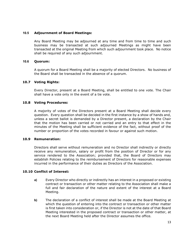#### 10.5 Adjournment of Board Meetings:

Any Board Meeting may be adjourned at any time and from time to time and such business may be transacted at such adjourned Meetings as might have been transacted at the original Meeting from which such adjournment took place. No notice shall be required of any such adjournment.

#### 10.6 Quorum:

A quorum for a Board Meeting shall be a majority of elected Directors. No business of the Board shall be transacted in the absence of a quorum.

#### 10.7 Voting Rights:

Every Director, present at a Board Meeting, shall be entitled to one vote. The Chair shall have a vote only in the event of a tie vote.

#### 10.8 Voting Procedures:

A majority of votes of the Directors present at a Board Meeting shall decide every question. Every question shall be decided in the first instance by a show of hands and, unless a secret ballot is demanded by a Director present, a declaration by the Chair that the motion has been carried or not carried and an entry to that effect in the minutes of the Meeting shall be sufficient evidence of the fact, without proof of the number or proportion of the votes recorded in favour or against such motion.

# 10.9 Remuneration:

Directors shall serve without remuneration and no Director shall indirectly or directly receive any remuneration, salary or profit from the position of Director or for any service rendered to the Association; provided that, the Board of Directors may establish Policies relating to the reimbursement of Directors for reasonable expenses incurred in the performance of their duties as Directors of the Association.

#### 10.10 Conflict of Interest:

- a) Every Director who directly or indirectly has an interest in a proposed or existing contract or transaction or other matter relating to the Association shall make a full and fair declaration of the nature and extent of the interest at a Board Meeting.
- b) The declaration of a conflict of interest shall be made at the Board Meeting at which the question of entering into the contract or transaction or other matter is first taken into consideration or, if the Director is not at the date of that Board Meeting interested in the proposed contract or transaction or other matter, at the next Board Meeting held after the Director assumes the office.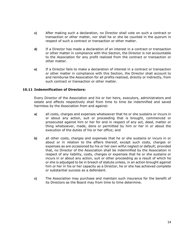- c) After making such a declaration, no Director shall vote on such a contract or transaction or other matter, nor shall he or she be counted in the quorum in respect of such a contract or transaction or other matter.
- d) If a Director has made a declaration of an interest in a contract or transaction or other matter in compliance with this Section, the Director is not accountable to the Association for any profit realized from the contract or transaction or other matter.
- e) If a Director fails to make a declaration of interest in a contract or transaction or other matter in compliance with this Section, the Director shall account to and reimburse the Association for all profits realized, directly or indirectly, from such contract or transaction or other matter.

# 10.11 Indemnification of Directors:

Every Director of the Association and his or her heirs, executors, administrators and estate and effects respectively shall from time to time be indemnified and saved harmless by the Association from and against:

- a) all costs, charges and expenses whatsoever that he or she sustains or incurs in or about any action, suit or proceeding that is brought, commenced or prosecuted against him or her for and in respect of any act, deed, matter or thing whatsoever, made, done or permitted by him or her in or about the execution of the duties of his or her office; and
- b) all other costs, charges and expenses that he or she sustains or incurs in or about or in relation to the affairs thereof, except such costs, charges or expenses as are occasioned by his or her own wilful neglect or default; provided that, no Director of the Association shall be indemnified by the Association in respect of any liability, costs, charges or expenses that he or she sustains or incurs in or about any action, suit or other proceeding as a result of which he or she is adjudged to be in breach of statute unless, in an action brought against him or her in his or her capacity as a Director, he or she has achieved complete or substantial success as a defendant.
- c) The Association may purchase and maintain such insurance for the benefit of its Directors as the Board may from time to time determine.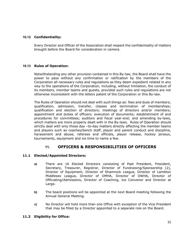# 10.12 Confidentiality:

Every Director and Officer of the Association shall respect the confidentiality of matters brought before the Board for consideration in camera.

# 10.13 Rules of Operation:

Notwithstanding any other provision contained in this By-law, the Board shall have the power to pass without any confirmation or ratification by the members of the Corporation all necessary rules and regulations as they deem expedient related in any way to the operations of the Corporation, including, without limitation, the conduct of its members, member teams and guests, provided such rules and regulations are not otherwise inconsistent with the letters patent of the Corporation or this By-law.

The Rules of Operation should not deal with such things as: fees and dues of members; qualification, admission, transfer, classes and termination of memberships; qualification and election of directors; meetings of directors and/or members; appointment and duties of officers; execution of documents; establishment of and procedures for committees; auditors and fiscal year-end; and amending by-laws, which matters are more properly dealt with in the By-laws. Rules of Operation should strictly deal with only those day –to-day matters directly affecting the member teams and players such as coaches/bench staff, player and parent conduct and discipline, harassment and abuse, referees and officials, player release, hockey jerseys, tournaments, equipment and ice time to name a few.

# 11. OFFICERS & RESPONSIBILITIES OF OFFICERS

# 11.1 Elected/Appointed Directors:

- a) There are 16 Elected Directors consisting of Past President, President, Secretary, Treasurer, Registrar, Director of Fundraising/Sponsorship (2), Director of Equipment, Director of Shamrock League, Director of Lambton Middlesex League, Director of OMHA, Director of OWHA, Director of Officiating/Admissions, Director of Coaching, Ice Convenor and Director at Large.
- b) The board positions will be appointed at the next Board meeting following the Annual General Meeting.
- c) No Director will hold more than one Office with exception of the Vice President that may be filled by a Director appointed to a separate role on the Board.

#### 11.2 Eligibility for Office: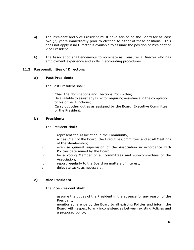- a) The President and Vice President must have served on the Board for at least two (2) years immediately prior to election to either of these positions. This does not apply if no Director is available to assume the position of President or Vice President.
- b) The Association shall endeavour to nominate as Treasurer a Director who has employment experience and skills in accounting procedures.

# 11.3 Responsibilities of Directors:

# a) Past President:

The Past President shall:

- i. Chair the Nominations and Elections Committee;
- ii. Be available to assist any Director requiring assistance in the completion of his or her functions;
- iii. Carry out other duties as assigned by the Board, Executive Committee, or the President.

# b) President:

The President shall:

- i. represent the Association in the Community;
- ii. act as Chair of the Board, the Executive Committee, and at all Meetings of the Membership;
- iii. exercise general supervision of the Association in accordance with Policies determined by the Board;
- iv. be a voting Member of all committees and sub-committees of the Association;
- v. report regularly to the Board on matters of interest;
- vi. delegate tasks as necessary.

# c) Vice President:

The Vice-President shall:

- i. assume the duties of the President in the absence for any reason of the President;
- ii. monitor adherence by the Board to all existing Policies and inform the Board with respect to any inconsistencies between existing Policies and a proposed policy;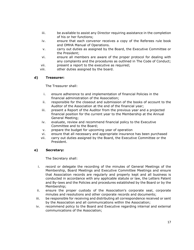- iii. be available to assist any Director requiring assistance in the completion of his or her functions;
- iv. ensure that each convenor receives a copy of the Referees rule book and OMHA Manual of Operations.
- v. carry out duties as assigned by the Board, the Executive Committee or the President;
- vi. ensure all members are aware of the proper protocol for dealing with any complaints and the procedures as outlined in The Code of Conduct;
- vii. present a report to the executive as required;
- viii. other duties assigned by the board.

# d) Treasurer:

The Treasurer shall:

- i. ensure adherence to and implementation of financial Policies in the financial administration of the Association;
- ii. responsible for the closeout and submission of the books of account to the Auditor of the Association at the end of the financial year;
- iii. present a Report of the Auditor from the previous year and a projected financial position for the current year to the Membership at the Annual General Meeting;
- iv. evaluate, review and recommend financial policy to the Executive Committee and to the Board;
- v. prepare the budget for upcoming year of operation
- vi. ensure that all necessary and appropriate insurance has been purchased
- vii. carry out duties assigned by the Board, the Executive Committee or the President.

# e) Secretary:

The Secretary shall:

- i. record or delegate the recording of the minutes of General Meetings of the Membership, Board Meetings and Executive Committee Meetings and ensure that Association records are regularly and properly kept and all business is conducted in accordance with any applicable statute or law, the Letters Patent and By-laws and the Policies and procedures established by the Board or by the Membership;
- ii. ensure the proper custody of the Association's corporate seal, corporate minutes and resolutions and other corporate records and documents;
- iii. be responsible for receiving and distributing all correspondence received or sent by the Association and all communications within the Association;
- iv. recommend policy to the Board and Executive regarding internal and external communications of the Association;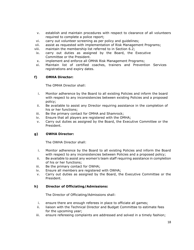- v. establish and maintain procedures with respect to clearance of all volunteers required to complete a police report;
- vi. carry out volunteer screening as per policy and guidelines;
- vii. assist as requested with implementation of Risk Management Programs;
- viii. maintain the membership list referred to in Section 6.2;
- ix. carry out duties as assigned by the Board, the Executive Committee or the President.
- x. implement and enforce all OMHA Risk Management Programs;
- xi. Maintain list of certified coaches, trainers and Prevention Services registrations and expiry dates.

# f) OMHA Director:

The OMHA Director shall:

- i. Monitor adherence by the Board to all existing Policies and inform the board with respect to any inconsistencies between existing Policies and a proposed policy;
- ii. Be available to assist any Director requiring assistance in the completion of his or her functions;
- iii. Be the primary contact for OMHA and Shamrock;
- iv. Ensure that all players are registered with the OMHA;
- v. Carry out duties as assigned by the Board, the Executive Committee or the President.

# g) OWHA Director:

The OWHA Director shall:

- i. Monitor adherence by the Board to all existing Policies and inform the Board with respect to any inconsistencies between Policies and a proposed policy;
- ii. Be available to assist any women's team staff requiring assistance in completion of his or her functions;
- iii. Be the primary contact for OWHA;
- iv. Ensure all members are registered with OWHA;
- v. Carry out duties as assigned by the Board, the Executive Committee or the President.

#### h) Director of Officiating/Admissions:

The Director of Officiating/Admissions shall:

- i. ensure there are enough referees in place to officiate all games;
- ii. liaison with the Technical Director and Budget Committee to estimate fees for the upcoming year;
- iii. ensure refereeing complaints are addressed and solved in a timely fashion;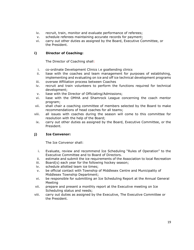- iv. recruit, train, monitor and evaluate performance of referees;
- v. schedule referees maintaining accurate records for payment;
- vi. carry out other duties as assigned by the Board, Executive Committee, or the President.

# i) Director of Coaching:

The Director of Coaching shall:

- i. co-ordinate Development Clinics i.e goaltending clinics
- ii. liase with the coaches and team management for purposes of establishing, implementing and evaluating on ice and off ice technical development programs
- iii. oversee Affiliation process between Coaches
- iv. recruit and train volunteers to perform the functions required for technical development;
- v. liase with the Director of Officiating/Admissions;
- vi. liase with the OMHA and Shamrock League concerning the coach mentor program;
- vii. shall chair a coaching committee of members selected by the Board to make recommendations of head coaches for all teams;
- viii. all issues with coaches during the season will come to this committee for resolution with the help of the Board;
- ix. carry out other duties as assigned by the Board, Executive Committee, or the President.

# j) Ice Convenor:

The Ice Convenor shall:

- i. Evaluate, review and recommend Ice Scheduling "Rules of Operation" to the Executive Committee and to Board of Directors.
- ii. estimate and submit the ice requirements of the Association to local Recreation
- iii. Board(s) each year for the following hockey season;
- iv. schedule allotted team ice times;
- v. be official contact with Township of Middlesex Centre and Municipality of Middlesex Township Department;
- vi. be responsible for submitting an Ice Scheduling Report at the Annual General Meeting
- vii. prepare and present a monthly report at the Executive meeting on Ice Scheduling status and needs;
- viii. carry out duties as assigned by the Executive, The Executive Committee or the President.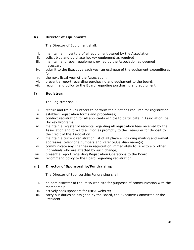# k) Director of Equipment:

The Director of Equipment shall:

- i. maintain an inventory of all equipment owned by the Association;
- ii. solicit bids and purchase hockey equipment as required;
- iii. maintain and repair equipment owned by the Association as deemed necessary
- iv. submit to the Executive each year an estimate of the equipment expenditures for
- v. the next fiscal year of the Association;
- vi. present a report regarding purchasing and equipment to the board;
- vii. recommend policy to the Board regarding purchasing and equipment.

# l) Registrar:

The Registrar shall:

- i. recruit and train volunteers to perform the functions required for registration;
- ii. establish registration forms and procedures;
- iii. conduct registration for all applicants eligible to participate in Association Ice Hockey Programs;
- iv. maintain a register of receipts regarding all registration fees received by the Association and forward all monies promptly to the Treasurer for deposit to the credit of the Association;
- v. maintain a current registration list of all players including mailing and e-mail addresses, telephone numbers and Parent/Guardian name(s);
- vi. communicate any changes in registration immediately to Directors or other individuals who are affected by such change;
- vii. present a report regarding Registration Operations to the Board;
- viii. recommend policy to the Board regarding registration.

# m) Director of Sponsorship/Fundraising:

The Director of Sponsorship/Fundraising shall:

- i. be administrator of the IMHA web site for purposes of communication with the membership;
- ii. actively seek sponsors for IMHA website;
- iii. carry out duties as assigned by the Board, the Executive Committee or the President.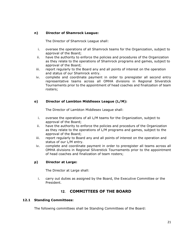# n) Director of Shamrock League:

The Director of Shamrock League shall:

- i. oversee the operations of all Shamrock teams for the Organization, subject to approval of the Board;
- ii. have the authority to enforce the policies and procedures of the Organization as they relate to the operations of Shamrock programs and games, subject to approval of the Board;
- iii. report regularly to the Board any and all points of interest on the operation and status of our Shamrock entry.
- iv. complete and coordinate payment in order to preregister all second entry representative teams across all OMHA divisions in Regional Silverstick Tournaments prior to the appointment of head coaches and finalization of team rosters;

# o) Director of Lambton Middlesex League (L/M):

The Director of Lambton Middlesex League shall:

- i. oversee the operations of all L/M teams for the Organization, subject to approval of the Board;
- ii. have the authority to enforce the policies and procedurs of the Organization as they relate to the operations of L/M programs and games, subject to the approval of the Board;
- iii. report regularly to Board any and all points of interest on the operation and status of our L/M entry.
- iv. complete and coordinate payment in order to preregister all teams across all OMHA divisions in Regional Silverstick Tournaments prior to the appointment of head coaches and finalization of team rosters;

# p) Director at Large:

The Director at Large shall:

i. carry out duties as assigned by the Board, the Executive Committee or the President.

# 12. COMMITTEES OF THE BOARD

# 12.1 Standing Committees:

The following committees shall be Standing Committees of the Board: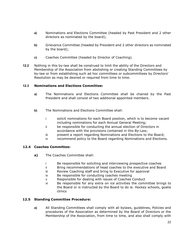- a) Nominations and Elections Committee (headed by Past President and 2 other directors as nominated by the board);
- b) Grievance Committee (headed by President and 2 other directors as nominated by the board);
- c) Coaches Committee (headed by Director of Coaching).
- 12.2 Nothing in this by-law shall be construed to limit the ability of the Directors and Membership of the Association from abolishing or creating Standing Committees by by-law or from establishing such ad hoc committees or subcommittees by Directors' Resolution as may be desired or required from time to time.

# 12.3 Nominations and Elections Committee:

- a) The Nominations and Elections Committee shall be chaired by the Past President and shall consist of two additional appointed members.
- b) The Nominations and Elections Committee shall:
	- i solicit nominations for each Board position, which is to become vacant including nominations for each Annual General Meeting;
	- ii be responsible for conducting the annual election of Directors in accordance with the provisions contained in this By-Law;
	- iii present a report regarding Nominations and Elections to the Board;
	- iv recommend policy to the Board regarding Nominations and Elections.

# 12.4 Coaches Committee:

- a) The Coaches Committee shall:
	- i Be responsible for soliciting and interviewing prospective coaches
	- ii Bring recommendations of head coaches to the executive and Board
	- iii Review Coaching staff and bring to Executive for approval
	- iv Be responsible for conducting coaches meeting
	- v Responsible for dealing with issues of Coaches Conduct
	- vi Be responsible for any extra on ice activities the committee brings to the Board or is instructed by the Board to do ie. Hockey schools, goalie clinics

#### 12.5 Standing Committee Procedure:

a) All Standing Committees shall comply with all bylaws, guidelines, Policies and procedures of the Association as determined by the Board of Directors or the Membership of the Association, from time to time, and also shall comply with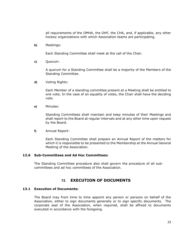all requirements of the OMHA, the OHF, the CHA, and, if applicable, any other hockey organizations with which Association teams are participating.

b) Meetings:

Each Standing Committee shall meet at the call of the Chair.

c) Quorum:

A quorum for a Standing Committee shall be a majority of the Members of the Standing Committee.

d) Voting Rights:

Each Member of a standing committee present at a Meeting shall be entitled to one vote; In the case of an equality of votes, the Chair shall have the deciding vote.

e) Minutes:

Standing Committees shall maintain and keep minutes of their Meetings and shall report to the Board at regular intervals and at any other time upon request by the Board.

f) Annual Report:

Each Standing Committee shall prepare an Annual Report of the matters for which it is responsible to be presented to the Membership at the Annual General Meeting of the Association.

#### 12.6 Sub-Committees and Ad Hoc Committees:

The Standing Committee procedure also shall govern the procedure of all subcommittees and ad hoc committees of the Association.

# 13. EXECUTION OF DOCUMENTS

#### 13.1 Execution of Documents:

The Board may from time to time appoint any person or persons on behalf of the Association, either to sign documents generally or to sign specific documents. The corporate seal of the Association, when required, shall be affixed to documents executed in accordance with the foregoing.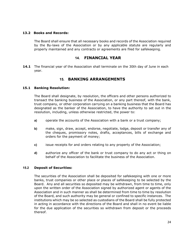#### 13.2 Books and Records:

The Board shall ensure that all necessary books and records of the Association required by the By-laws of the Association or by any applicable statute are regularly and properly maintained and any contracts or agreements are filed for safekeeping.

# 14. FINANCIAL YEAR

**14.1** The financial year of the Association shall terminate on the 30th day of June in each year.

# 15. BANKING ARRANGEMENTS

#### 15.1 Banking Resolution:

The Board shall designate, by resolution, the officers and other persons authorized to transact the banking business of the Association, or any part thereof, with the bank, trust company, or other corporation carrying on a banking business that the Board has designated as the banker of the Association, to have the authority to set out in the resolution, including, unless otherwise restricted, the power to:

- a) operate the accounts of the Association with a bank or a trust company;
- b) make, sign, draw, accept, endorse, negotiate, lodge, deposit or transfer any of the cheques, promissory notes, drafts, acceptances, bills of exchange and orders for the payment of money;
- c) issue receipts for and orders relating to any property of the Association;
- d) authorize any officer of the bank or trust company to do any act or thing on behalf of the Association to facilitate the business of the Association.

#### 15.2 Deposit of Securities:

The securities of the Association shall be deposited for safekeeping with one or more banks, trust companies or other place or places of safekeeping to be selected by the Board. Any and all securities so deposited may be withdrawn, from time to time, only upon the written order of the Association signed by authorized agent or agents of the Association and in such manner as shall be determined from time to time by resolution of the Board, and such authority may be general or confined to specific instances. The institutions which may be so selected as custodians of the Board shall be fully protected in acting in accordance with the directions of the Board and shall in no event be liable for the due application of the securities so withdrawn from deposit or the proceeds thereof.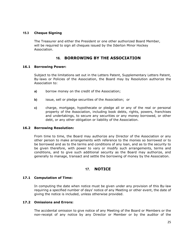#### 15.3 Cheque Signing

The Treasurer and either the President or one other authorized Board Member, will be required to sign all cheques issued by the Ilderton Minor Hockey Association.

# 16. BORROWING BY THE ASSOCIATION

#### 16.1 Borrowing Power:

Subject to the limitations set out in the Letters Patent, Supplementary Letters Patent, By-laws or Policies of the Association, the Board may by Resolution authorize the Association to:

- a) borrow money on the credit of the Association;
- b) issue, sell or pledge securities of the Association; or
- c) charge, mortgage, hypothecate or pledge all or any of the real or personal property of the Association, including book debts, rights, powers, franchises and undertakings, to secure any securities or any money borrowed, or other debt, or any other obligation or liability of the Association.

#### 16.2 Borrowing Resolution:

From time to time, the Board may authorize any Director of the Association or any other person to make arrangements with reference to the monies so borrowed or to be borrowed and as to the terms and conditions of any loan, and as to the security to be given therefore, with power to vary or modify such arrangements, terms and conditions, and to give such additional security as the Board may authorize, and generally to manage, transact and settle the borrowing of money by the Association.

# 17. NOTICE

# 17.1 Computation of Time:

In computing the date when notice must be given under any provision of this By-law requiring a specified number of days' notice of any Meeting or other event, the date of giving the notice is included, unless otherwise provided.

# 17.2 Omissions and Errors:

The accidental omission to give notice of any Meeting of the Board or Members or the non-receipt of any notice by any Director or Member or by the auditor of the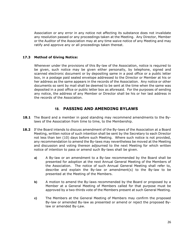Association or any error in any notice not affecting its substance does not invalidate any resolution passed or any proceedings taken at the Meeting. Any Director, Member or the Auditor of the Association may at any time waive notice of any Meeting and may ratify and approve any or all proceedings taken thereat.

# 17.3 Method of Giving Notice:

Whenever under the provisions of this By-law of the Association, notice is required to be given, such notice may be given either personally, by telephone, signed and scanned electronic document or by depositing same in a post office or a public letter box, in a postage paid sealed envelope addressed to the Director or Member at his or her address as the same appears in the records of the Association. Any notice or other documents so sent by mail shall be deemed to be sent at the time when the same was deposited in a post office or public letter box as aforesaid. For the purposes of sending any notice, the address of any Member or Director shall be his or her last address in the records of the Association.

# 18. PASSING AND AMENDING BYLAWS

- **18.1** The Board and a member in good standing may recommend amendments to the Bylaws of the Association from time to time, to the Membership.
- 18.2 If the Board intends to discuss amendment of the By-laws of the Association at a Board Meeting, written notice of such intention shall be sent by the Secretary to each Director not less than ten (10) days before such Meeting. Where such notice is not provided, any recommendation to amend the By-laws may nevertheless be moved at the Meeting and discussion and voting thereon adjourned to the next Meeting for which written notice of intention to pass or amend such By-laws shall be given.
	- a) A By-law or an amendment to a By-law recommended by the Board shall be presented for adoption at the next Annual General Meeting of the Members of the Association. The notice of such Annual General Meeting shall refer to, describe and explain the By-law or amendment(s) to the By-law to be presented at the Meeting of the Members.
	- b) A motion to amend the By-laws recommended by the Board or proposed by a Member at a General Meeting of Members called for that purpose must be approved by a two-thirds vote of the Members present at such General Meeting.
	- c) The Members at the General Meeting of Members may confirm the proposed By-law or amended By-law as presented or amend or reject the proposed Bylaw or amended By-Law.